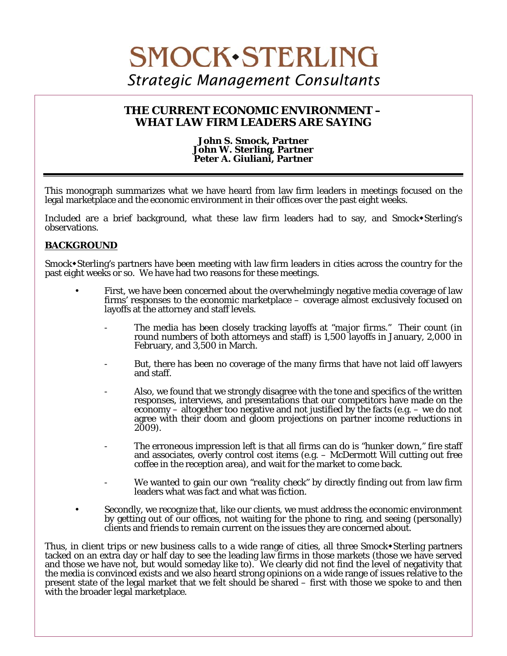# **SMOCK.STERLING** *Strategic Management Consultants*

# **THE CURRENT ECONOMIC ENVIRONMENT – WHAT LAW FIRM LEADERS ARE SAYING**

#### **John S. Smock, Partner John W. Sterling, Partner Peter A. Giuliani, Partner**

This monograph summarizes what we have heard from law firm leaders in meetings focused on the legal marketplace and the economic environment in their offices over the past eight weeks.

Included are a brief background, what these law firm leaders had to say, and Smock Sterling's observations.

# **BACKGROUND**

 $\overline{a}$ 

Smock \* Sterling's partners have been meeting with law firm leaders in cities across the country for the past eight weeks or so. We have had two reasons for these meetings.

- First, we have been concerned about the overwhelmingly negative media coverage of law firms' responses to the economic marketplace – coverage almost exclusively focused on layoffs at the attorney and staff levels.
	- The media has been closely tracking layoffs at *"major firms."* Their count (in round numbers of both attorneys and staff) is 1,500 layoffs in January, 2,000 in February, and 3,500 in March.
	- But, there has been no coverage of the many firms that have not laid off lawyers and staff.
	- Also, we found that we strongly disagree with the tone and specifics of the written responses, interviews, and presentations that our competitors have made on the economy – altogether too negative and not justified by the facts (e.g. – we do not agree with their doom and gloom projections on partner income reductions in 2009).
	- The erroneous impression left is that all firms can do is *"hunker down,"* fire staff and associates, overly control cost items (e.g. – McDermott Will cutting out free coffee in the reception area), and wait for the market to come back.
	- We wanted to gain our own *"reality check"* by directly finding out from law firm leaders what was fact and what was fiction.
- Secondly, we recognize that, like our clients, we must address the economic environment by getting out of our offices, not waiting for the phone to ring, and seeing (personally) clients and friends to remain current on the issues they are concerned about.

Thus, in client trips or new business calls to a wide range of cities, all three Smock+Sterling partners tacked on an extra day or half day to see the leading law firms in those markets (those we have served and those we have not, but would someday like to). We clearly did not find the level of negativity that the media is convinced exists and we also heard strong opinions on a wide range of issues relative to the present state of the legal market that we felt should be shared – first with those we spoke to and then with the broader legal marketplace.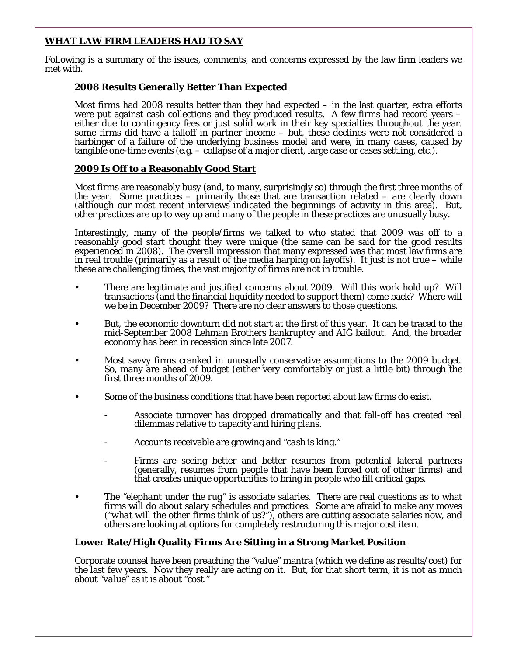# **WHAT LAW FIRM LEADERS HAD TO SAY**

Following is a summary of the issues, comments, and concerns expressed by the law firm leaders we met with.

# **2008 Results Generally Better Than Expected**

Most firms had 2008 results better than they had expected – in the last quarter, extra efforts were put against cash collections and they produced results. A few firms had record years – either due to contingency fees or just solid work in their key specialties throughout the year. some firms did have a falloff in partner income – but, these declines were not considered a harbinger of a failure of the underlying business model and were, in many cases, caused by tangible one-time events (e.g. – collapse of a major client, large case or cases settling, etc.).

### **2009 Is Off to a Reasonably Good Start**

Most firms are reasonably busy (and, to many, surprisingly so) through the first three months of the year. Some practices – primarily those that are transaction related – are clearly down (although our most recent interviews indicated the beginnings of activity in this area). But, other practices are up to way up and many of the people in these practices are unusually busy.

Interestingly, many of the people/firms we talked to who stated that 2009 was off to a reasonably good start thought they were unique (the same can be said for the good results experienced in 2008). The overall impression that many expressed was that most law firms are in real trouble (primarily as a result of the media harping on layoffs). It just is not true – while these are challenging times, the vast majority of firms are not in trouble.

- There are legitimate and justified concerns about 2009. Will this work hold up? Will transactions (and the financial liquidity needed to support them) come back? Where will we be in December 2009? There are no clear answers to those questions.
- But, the economic downturn did not start at the first of this year. It can be traced to the mid-September 2008 Lehman Brothers bankruptcy and AIG bailout. And, the broader economy has been in recession since late 2007.
- Most savvy firms cranked in unusually conservative assumptions to the 2009 budget. So, many are ahead of budget (either very comfortably or just a little bit) through the first three months of 2009.
- Some of the business conditions that have been reported about law firms do exist.
	- Associate turnover has dropped dramatically and that fall-off has created real dilemmas relative to capacity and hiring plans.
	- Accounts receivable are growing and *"cash is king."*
	- Firms are seeing better and better resumes from potential lateral partners (generally, resumes from people that have been forced out of other firms) and that creates unique opportunities to bring in people who fill critical gaps.
- The *"elephant under the rug"* is associate salaries. There are real questions as to what firms will do about salary schedules and practices. Some are afraid to make any moves (*"what will the other firms think of us?"*), others are cutting associate salaries now, and others are looking at options for completely restructuring this major cost item.

### **Lower Rate/High Quality Firms Are Sitting in a Strong Market Position**

Corporate counsel have been preaching the *"value"* mantra (which we define as results/cost) for the last few years. Now they really are acting on it. But, for that short term, it is not as much about *"value"* as it is about *"cost."*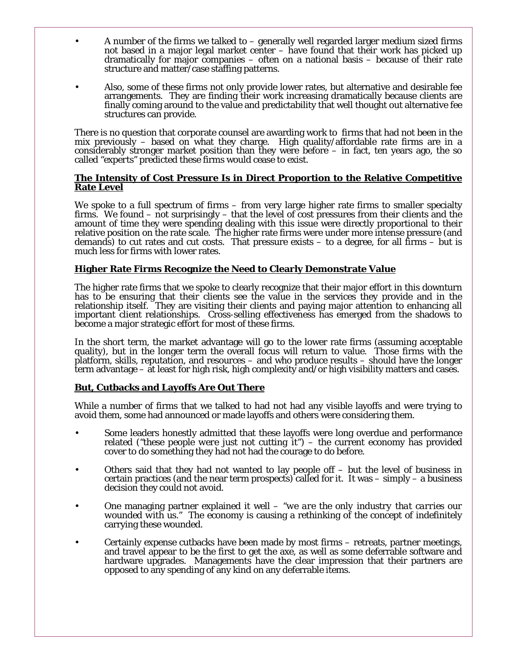- A number of the firms we talked to  $-$  generally well regarded larger medium sized firms not based in a major legal market center – have found that their work has picked up dramatically for major companies – often on a national basis – because of their rate structure and matter/case staffing patterns.
- Also, some of these firms not only provide lower rates, but alternative and desirable fee arrangements. They are finding their work increasing dramatically because clients are finally coming around to the value and predictability that well thought out alternative fee structures can provide.

There is no question that corporate counsel are awarding work to firms that had not been in the mix previously – based on what they charge. High quality/affordable rate firms are in a considerably stronger market position than they were before  $-$  in fact, ten years ago, the so called *"experts"* predicted these firms would cease to exist.

#### **The Intensity of Cost Pressure Is in Direct Proportion to the Relative Competitive Rate Level**

We spoke to a full spectrum of firms – from very large higher rate firms to smaller specialty firms. We found – not surprisingly – that the level of cost pressures from their clients and the amount of time they were spending dealing with this issue were directly proportional to their relative position on the rate scale. The higher rate firms were under more intense pressure (and demands) to cut rates and cut costs. That pressure exists  $-$  to a degree, for all firms  $-$  but is much less for firms with lower rates.

### **Higher Rate Firms Recognize the Need to Clearly Demonstrate Value**

The higher rate firms that we spoke to clearly recognize that their major effort in this downturn has to be ensuring that their clients see the value in the services they provide and in the relationship itself. They are visiting their clients and paying major attention to enhancing all important client relationships. Cross-selling effectiveness has emerged from the shadows to become a major strategic effort for most of these firms.

In the short term, the market advantage will go to the lower rate firms (assuming acceptable quality), but in the longer term the overall focus will return to value. Those firms with the platform, skills, reputation, and resources – and who produce results – should have the longer term advantage – at least for high risk, high complexity and/or high visibility matters and cases.

### **But, Cutbacks and Layoffs Are Out There**

While a number of firms that we talked to had not had any visible layoffs and were trying to avoid them, some had announced or made layoffs and others were considering them.

- Some leaders honestly admitted that these layoffs were long overdue and performance related (*"these people were just not cutting it"*) – the current economy has provided cover to do something they had not had the courage to do before.
- Others said that they had not wanted to lay people of  $-$  but the level of business in certain practices (and the near term prospects) called for it. It was – simply – a business decision they could not avoid.
- One managing partner explained it well *"we are the only industry that carries our wounded with us.*" The economy is causing a rethinking of the concept of indefinitely carrying these wounded.
- Certainly expense cutbacks have been made by most firms retreats, partner meetings, and travel appear to be the first to get the axe, as well as some deferrable software and hardware upgrades. Managements have the clear impression that their partners are opposed to any spending of any kind on any deferrable items.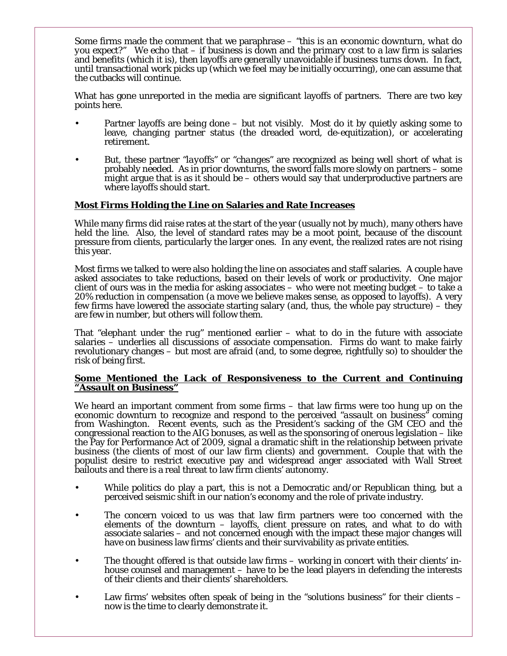Some firms made the comment that we paraphrase – *"this is an economic downturn, what do you expect?"* We echo that – if business is down and the primary cost to a law firm is salaries and benefits (which it is), then layoffs are generally unavoidable if business turns down. In fact, until transactional work picks up (which we feel may be initially occurring), one can assume that the cutbacks will continue.

What has gone unreported in the media are significant layoffs of partners. There are two key points here.

- Partner layoffs are being done but not visibly. Most do it by quietly asking some to leave, changing partner status (the dreaded word, de-equitization), or accelerating retirement.
- But, these partner *"layoffs"* or *"changes"* are recognized as being well short of what is probably needed. As in prior downturns, the sword falls more slowly on partners – some might argue that is as it should be  $-$  others would say that underproductive partners are where layoffs should start.

#### **Most Firms Holding the Line on Salaries and Rate Increases**

While many firms did raise rates at the start of the year (usually not by much), many others have held the line. Also, the level of standard rates may be a moot point, because of the discount pressure from clients, particularly the larger ones. In any event, the realized rates are not rising this year.

Most firms we talked to were also holding the line on associates and staff salaries. A couple have asked associates to take reductions, based on their levels of work or productivity. One major client of ours was in the media for asking associates – who were not meeting budget – to take a 20% reduction in compensation (a move we believe makes sense, as opposed to layoffs). A very few firms have lowered the associate starting salary (and, thus, the whole pay structure) – they are few in number, but others will follow them.

That *"elephant under the rug"* mentioned earlier – what to do in the future with associate revolutionary changes – but most are afraid (and, to some degree, rightfully so) to shoulder the risk of being first.

#### **Some Mentioned the Lack of Responsiveness to the Current and Continuing**  *"Assault on Business"*

We heard an important comment from some firms – that law firms were too hung up on the economic downturn to recognize and respond to the perceived *"assault on business"* coming from Washington. Recent events, such as the President's sacking of the GM CEO and the congressional reaction to the AIG bonuses, as well as the sponsoring of onerous legislation – like the Pay for Performance Act of 2009, signal a dramatic shift in the relationship between private business (the clients of most of our law firm clients) and government. Couple that with the populist desire to restrict executive pay and widespread anger associated with Wall Street bailouts and there is a real threat to law firm clients' autonomy.

- While politics do play a part, this is not a Democratic and/or Republican thing, but a perceived seismic shift in our nation's economy and the role of private industry.
- The concern voiced to us was that law firm partners were too concerned with the elements of the downturn – layoffs, client pressure on rates, and what to do with associate salaries – and not concerned enough with the impact these major changes will have on business law firms' clients and their survivability as private entities.
- The thought offered is that outside law firms working in concert with their clients' inhouse counsel and management – have to be the lead players in defending the interests of their clients and their clients' shareholders.
- Law firms' websites often speak of being in the *"solutions business"* for their clients now is the time to clearly demonstrate it.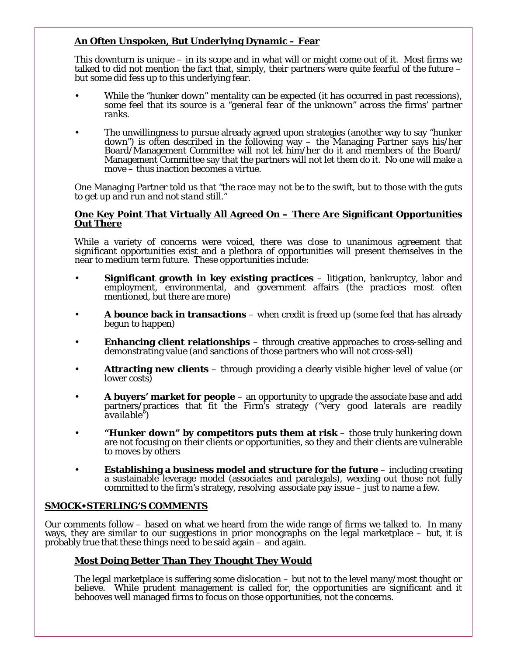# **An Often Unspoken, But Underlying Dynamic – Fear**

This downturn is unique – in its scope and in what will or might come out of it. Most firms we talked to did not mention the fact that, simply, their partners were quite fearful of the future – but some did fess up to this underlying fear.

- While the *"hunker down"* mentality can be expected (it has occurred in past recessions), some feel that its source is a *"general fear of the unknown"* across the firms' partner ranks.
- The unwillingness to pursue already agreed upon strategies (another way to say *"hunker down"*) is often described in the following way – the Managing Partner says his/her Board/Management Committee will not let him/her do it and members of the Board/ Management Committee say that the partners will not let them do it. No one will make a move – thus inaction becomes a virtue.

One Managing Partner told us that *"the race may not be to the swift, but to those with the guts to get up and run and not stand still."*

#### **One Key Point That Virtually All Agreed On – There Are Significant Opportunities Out There**

While a variety of concerns were voiced, there was close to unanimous agreement that significant opportunities exist and a plethora of opportunities will present themselves in the near to medium term future. These opportunities include:

- **Significant growth in key existing practices** litigation, bankruptcy, labor and employment, environmental, and government affairs (the practices most often mentioned, but there are more)
- **A bounce back in transactions** when credit is freed up (some feel that has already begun to happen)
- **Enhancing client relationships** through creative approaches to cross-selling and demonstrating value (and sanctions of those partners who will not cross-sell)
- **Attracting new clients**  through providing a clearly visible higher level of value (or lower costs)
- **A buyers' market for people** an opportunity to upgrade the associate base and add partners/practices that fit the Firm's strategy (*"very good laterals are readily available"*)
- *"Hunker down"* **by competitors puts them at risk**  those truly hunkering down are not focusing on their clients or opportunities, so they and their clients are vulnerable to moves by others
- **Establishing a business model and structure for the future**  including creating a sustainable leverage model (associates and paralegals), weeding out those not fully committed to the firm's strategy, resolving associate pay issue  $-$  just to name a few.

### **SMOCKSTERLING'S COMMENTS**

Our comments follow – based on what we heard from the wide range of firms we talked to. In many ways, they are similar to our suggestions in prior monographs on the legal marketplace – but, it is probably true that these things need to be said again – and again.

### **Most Doing Better Than They Thought They Would**

The legal marketplace is suffering some dislocation – but not to the level many/most thought or believe. While prudent management is called for, the opportunities are significant and it behooves well managed firms to focus on those opportunities, not the concerns.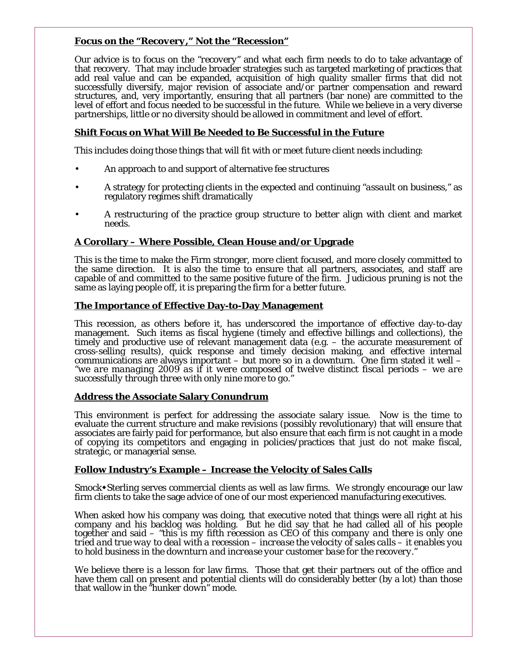#### **Focus on the** *"Recovery,"* **Not the** *"Recession"*

Our advice is to focus on the *"recovery"* and what each firm needs to do to take advantage of that recovery. That may include broader strategies such as targeted marketing of practices that add real value and can be expanded, acquisition of high quality smaller firms that did not successfully diversify, major revision of associate and/or partner compensation and reward structures, and, very importantly, ensuring that all partners (bar none) are committed to the level of effort and focus needed to be successful in the future. While we believe in a very diverse partnerships, little or no diversity should be allowed in commitment and level of effort.

# **Shift Focus on What Will Be Needed to Be Successful in the Future**

This includes doing those things that will fit with or meet future client needs including:

- An approach to and support of alternative fee structures
- A strategy for protecting clients in the expected and continuing *"assault on business,"* as regulatory regimes shift dramatically
- A restructuring of the practice group structure to better align with client and market needs.

### **A Corollary – Where Possible, Clean House and/or Upgrade**

This is the time to make the Firm stronger, more client focused, and more closely committed to the same direction. It is also the time to ensure that all partners, associates, and staff are capable of and committed to the same positive future of the firm. Judicious pruning is not the same as laying people off, it is preparing the firm for a better future.

#### **The Importance of Effective Day-to-Day Management**

This recession, as others before it, has underscored the importance of effective day-to-day management. Such items as fiscal hygiene (timely and effective billings and collections), the timely and productive use of relevant management data (e.g. – the accurate measurement of cross-selling results), quick response and timely decision making, and effective internal communications are always important  $-$  but more so in a downturn. One firm stated it well  $-$ *"we are managing 2009 as if it were composed of twelve distinct fiscal periods – we are successfully through three with only nine more to go."*

#### **Address the Associate Salary Conundrum**

This environment is perfect for addressing the associate salary issue. Now is the time to evaluate the current structure and make revisions (possibly revolutionary) that will ensure that associates are fairly paid for performance, but also ensure that each firm is not caught in a mode of copying its competitors and engaging in policies/practices that just do not make fiscal, strategic, or managerial sense.

### **Follow Industry's Example – Increase the Velocity of Sales Calls**

Smock • Sterling serves commercial clients as well as law firms. We strongly encourage our law firm clients to take the sage advice of one of our most experienced manufacturing executives.

When asked how his company was doing, that executive noted that things were all right at his company and his backlog was holding. But he did say that he had called all of his people together and said – *"this is my fifth recession as CEO of this company and there is only one tried and true way to deal with a recession – increase the velocity of sales calls – it enables you to hold business in the downturn and increase your customer base for the recovery."*

We believe there is a lesson for law firms. Those that get their partners out of the office and have them call on present and potential clients will do considerably better (by a lot) than those that wallow in the *"hunker down"* mode.